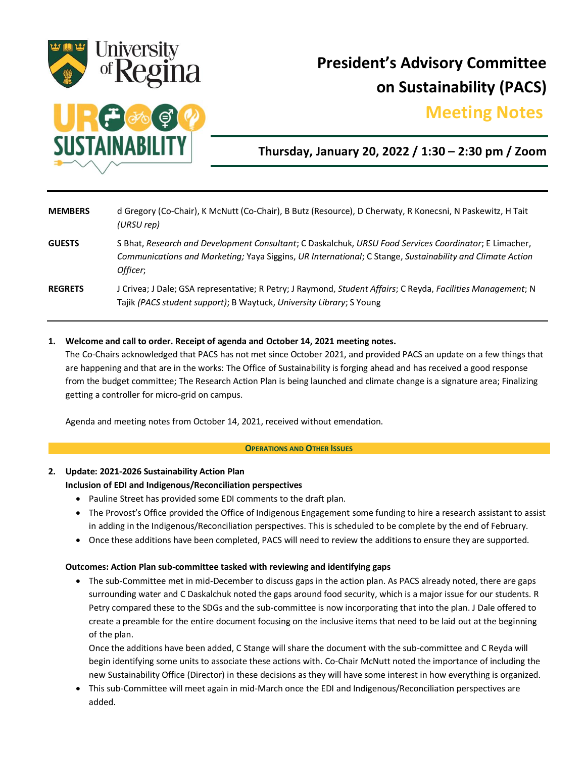

# **President's Advisory Committee on Sustainability (PACS)**

## **Meeting Notes.**



## **Thursday, January 20, 2022 / 1:30 – 2:30 pm / Zoom**

| <b>MEMBERS</b> | d Gregory (Co-Chair), K McNutt (Co-Chair), B Butz (Resource), D Cherwaty, R Konecsni, N Paskewitz, H Tait<br>(URSU rep)                                                                                                         |
|----------------|---------------------------------------------------------------------------------------------------------------------------------------------------------------------------------------------------------------------------------|
| <b>GUESTS</b>  | S Bhat, Research and Development Consultant; C Daskalchuk, URSU Food Services Coordinator; E Limacher,<br>Communications and Marketing; Yaya Siggins, UR International; C Stange, Sustainability and Climate Action<br>Officer; |
| <b>REGRETS</b> | J Crivea; J Dale; GSA representative; R Petry; J Raymond, Student Affairs; C Reyda, Facilities Management; N<br>Tajik (PACS student support); B Waytuck, University Library; S Young                                            |

#### **1. Welcome and call to order. Receipt of agenda and October 14, 2021 meeting notes.**

The Co-Chairs acknowledged that PACS has not met since October 2021, and provided PACS an update on a few things that are happening and that are in the works: The Office of Sustainability is forging ahead and has received a good response from the budget committee; The Research Action Plan is being launched and climate change is a signature area; Finalizing getting a controller for micro-grid on campus.

Agenda and meeting notes from October 14, 2021, received without emendation.

#### **OPERATIONS AND OTHER ISSUES**

## **2. Update: 2021-2026 Sustainability Action Plan**

### **Inclusion of EDI and Indigenous/Reconciliation perspectives**

- Pauline Street has provided some EDI comments to the draft plan.
- The Provost's Office provided the Office of Indigenous Engagement some funding to hire a research assistant to assist in adding in the Indigenous/Reconciliation perspectives. This is scheduled to be complete by the end of February.
- Once these additions have been completed, PACS will need to review the additions to ensure they are supported.

#### **Outcomes: Action Plan sub-committee tasked with reviewing and identifying gaps**

 The sub-Committee met in mid-December to discuss gaps in the action plan. As PACS already noted, there are gaps surrounding water and C Daskalchuk noted the gaps around food security, which is a major issue for our students. R Petry compared these to the SDGs and the sub-committee is now incorporating that into the plan. J Dale offered to create a preamble for the entire document focusing on the inclusive items that need to be laid out at the beginning of the plan.

Once the additions have been added, C Stange will share the document with the sub-committee and C Reyda will begin identifying some units to associate these actions with. Co-Chair McNutt noted the importance of including the new Sustainability Office (Director) in these decisions as they will have some interest in how everything is organized.

 This sub-Committee will meet again in mid-March once the EDI and Indigenous/Reconciliation perspectives are added.